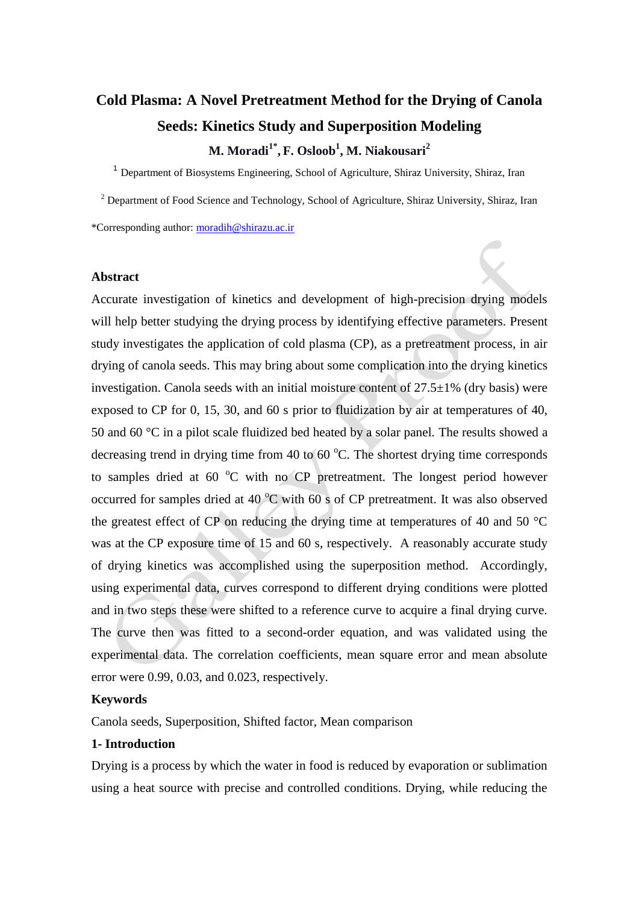# **Cold Plasma: A Novel Pretreatment Method for the Drying of Canola Seeds: Kinetics Study and Superposition Modeling**

**M. Moradi1\* , F. Osloob<sup>1</sup> , M. Niakousari<sup>2</sup>**

<sup>1</sup> Department of Biosystems Engineering, School of Agriculture, Shiraz University, Shiraz, Iran

<sup>2</sup> Department of Food Science and Technology, School of Agriculture, Shiraz University, Shiraz, Iran

\*Corresponding author: [moradih@shirazu.ac.ir](mailto:moradih@shirazu.ac.ir)

#### **Abstract**

Accurate investigation of kinetics and development of high-precision drying models will help better studying the drying process by identifying effective parameters. Present study investigates the application of cold plasma (CP), as a pretreatment process, in air drying of canola seeds. This may bring about some complication into the drying kinetics investigation. Canola seeds with an initial moisture content of  $27.5\pm1\%$  (dry basis) were exposed to CP for 0, 15, 30, and 60 s prior to fluidization by air at temperatures of 40, 50 and 60 °C in a pilot scale fluidized bed heated by a solar panel. The results showed a decreasing trend in drying time from 40 to  $60^{\circ}$ C. The shortest drying time corresponds to samples dried at  $60^{\circ}$ C with no CP pretreatment. The longest period however occurred for samples dried at  $40\degree C$  with  $60\degree S$  of CP pretreatment. It was also observed the greatest effect of CP on reducing the drying time at temperatures of 40 and 50 °C was at the CP exposure time of 15 and 60 s, respectively. A reasonably accurate study of drying kinetics was accomplished using the superposition method. Accordingly, using experimental data, curves correspond to different drying conditions were plotted and in two steps these were shifted to a reference curve to acquire a final drying curve. The curve then was fitted to a second-order equation, and was validated using the experimental data. The correlation coefficients, mean square error and mean absolute error were 0.99, 0.03, and 0.023, respectively.

#### **Keywords**

Canola seeds, Superposition, Shifted factor, Mean comparison

## **1- Introduction**

Drying is a process by which the water in food is reduced by evaporation or sublimation using a heat source with precise and controlled conditions. Drying, while reducing the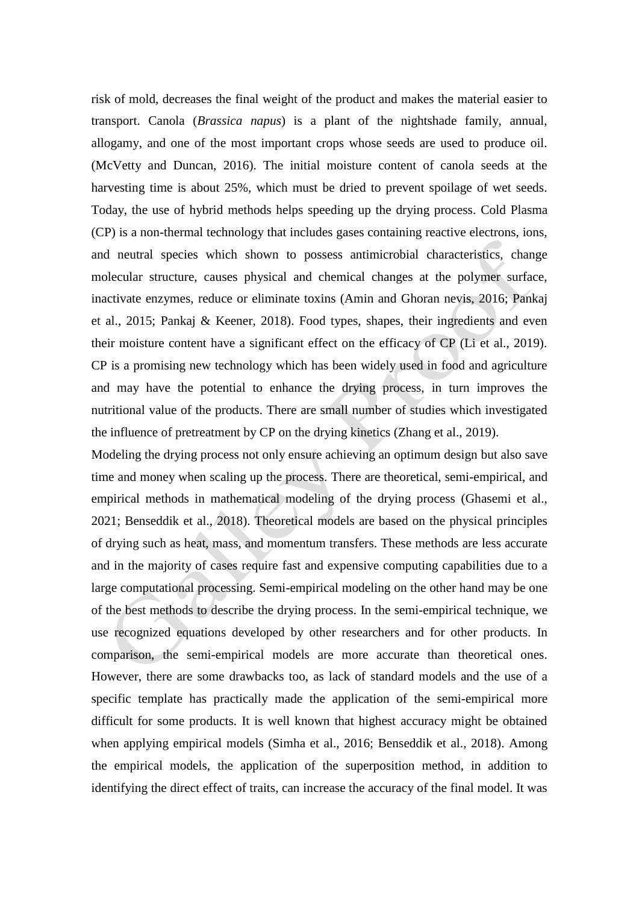risk of mold, decreases the final weight of the product and makes the material easier to transport. Canola (*Brassica napus*) is a plant of the nightshade family, annual, allogamy, and one of the most important crops whose seeds are used to produce oil. (McVetty and Duncan, 2016). The initial moisture content of canola seeds at the harvesting time is about 25%, which must be dried to prevent spoilage of wet seeds. Today, the use of hybrid methods helps speeding up the drying process. Cold Plasma (CP) is a non-thermal technology that includes gases containing reactive electrons, ions, and neutral species which shown to possess antimicrobial characteristics, change molecular structure, causes physical and chemical changes at the polymer surface, inactivate enzymes, reduce or eliminate toxins (Amin and Ghoran nevis, 2016; Pankaj et al., 2015; Pankaj & Keener, 2018). Food types, shapes, their ingredients and even their moisture content have a significant effect on the efficacy of CP (Li et al., 2019). CP is a promising new technology which has been widely used in food and agriculture and may have the potential to enhance the drying process, in turn improves the nutritional value of the products. There are small number of studies which investigated the influence of pretreatment by CP on the drying kinetics (Zhang et al., 2019).

Modeling the drying process not only ensure achieving an optimum design but also save time and money when scaling up the process. There are theoretical, semi-empirical, and empirical methods in mathematical modeling of the drying process (Ghasemi et al., 2021; Benseddik et al., 2018). Theoretical models are based on the physical principles of drying such as heat, mass, and momentum transfers. These methods are less accurate and in the majority of cases require fast and expensive computing capabilities due to a large computational processing. Semi-empirical modeling on the other hand may be one of the best methods to describe the drying process. In the semi-empirical technique, we use recognized equations developed by other researchers and for other products. In comparison, the semi-empirical models are more accurate than theoretical ones. However, there are some drawbacks too, as lack of standard models and the use of a specific template has practically made the application of the semi-empirical more difficult for some products. It is well known that highest accuracy might be obtained when applying empirical models (Simha et al., 2016; Benseddik et al., 2018). Among the empirical models, the application of the superposition method, in addition to identifying the direct effect of traits, can increase the accuracy of the final model. It was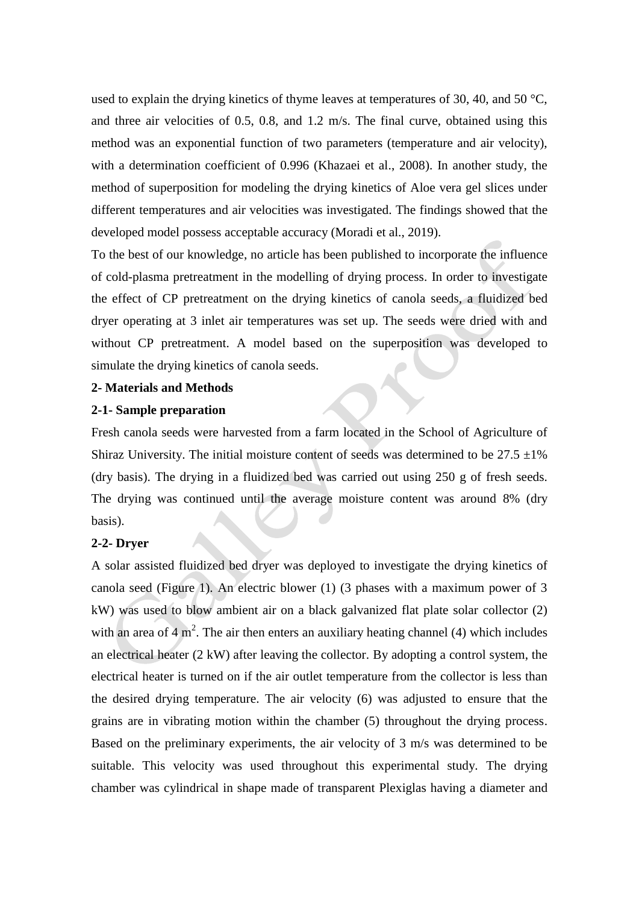used to explain the drying kinetics of thyme leaves at temperatures of 30, 40, and 50  $\degree$ C, and three air velocities of 0.5, 0.8, and 1.2 m/s. The final curve, obtained using this method was an exponential function of two parameters (temperature and air velocity), with a determination coefficient of 0.996 (Khazaei et al., 2008). In another study, the method of superposition for modeling the drying kinetics of Aloe vera gel slices under different temperatures and air velocities was investigated. The findings showed that the developed model possess acceptable accuracy (Moradi et al., 2019).

To the best of our knowledge, no article has been published to incorporate the influence of cold-plasma pretreatment in the modelling of drying process. In order to investigate the effect of CP pretreatment on the drying kinetics of canola seeds, a fluidized bed dryer operating at 3 inlet air temperatures was set up. The seeds were dried with and without CP pretreatment. A model based on the superposition was developed to simulate the drying kinetics of canola seeds.

#### **2- Materials and Methods**

#### **2-1- Sample preparation**

Fresh canola seeds were harvested from a farm located in the School of Agriculture of Shiraz University. The initial moisture content of seeds was determined to be  $27.5 \pm 1\%$ (dry basis). The drying in a fluidized bed was carried out using 250 g of fresh seeds. The drying was continued until the average moisture content was around 8% (dry basis).

## **2-2- Dryer**

A solar assisted fluidized bed dryer was deployed to investigate the drying kinetics of canola seed (Figure 1). An electric blower (1) (3 phases with a maximum power of 3 kW) was used to blow ambient air on a black galvanized flat plate solar collector (2) with an area of  $4 \text{ m}^2$ . The air then enters an auxiliary heating channel (4) which includes an electrical heater (2 kW) after leaving the collector. By adopting a control system, the electrical heater is turned on if the air outlet temperature from the collector is less than the desired drying temperature. The air velocity (6) was adjusted to ensure that the grains are in vibrating motion within the chamber (5) throughout the drying process. Based on the preliminary experiments, the air velocity of 3 m/s was determined to be suitable. This velocity was used throughout this experimental study. The drying chamber was cylindrical in shape made of transparent Plexiglas having a diameter and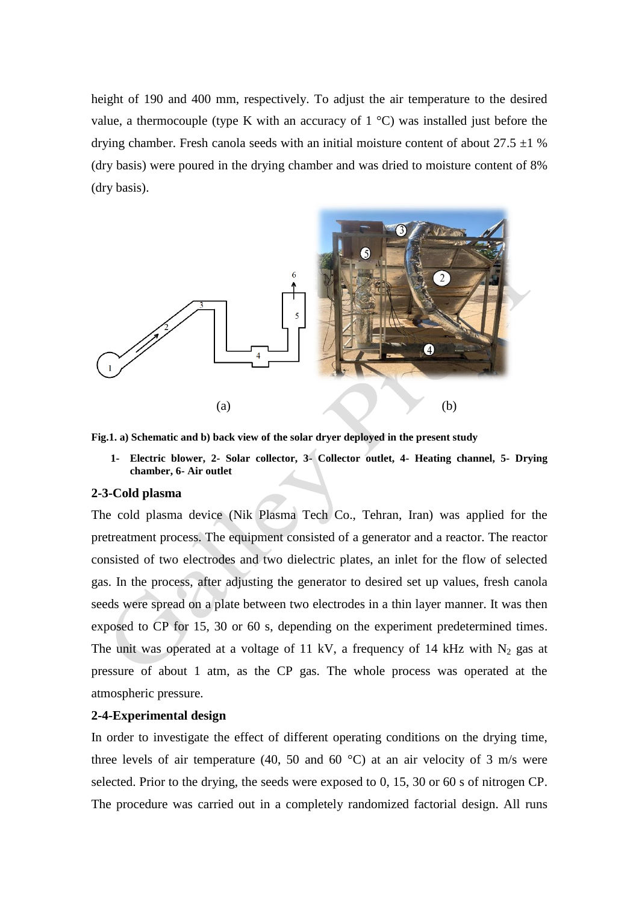height of 190 and 400 mm, respectively. To adjust the air temperature to the desired value, a thermocouple (type K with an accuracy of  $1 \degree C$ ) was installed just before the drying chamber. Fresh canola seeds with an initial moisture content of about  $27.5 \pm 1$  % (dry basis) were poured in the drying chamber and was dried to moisture content of 8% (dry basis).



**Fig.1. a) Schematic and b) back view of the solar dryer deployed in the present study**

**1- Electric blower, 2- Solar collector, 3- Collector outlet, 4- Heating channel, 5- Drying chamber, 6- Air outlet**

#### **2-3-Cold plasma**

The cold plasma device (Nik Plasma Tech Co., Tehran, Iran) was applied for the pretreatment process. The equipment consisted of a generator and a reactor. The reactor consisted of two electrodes and two dielectric plates, an inlet for the flow of selected gas. In the process, after adjusting the generator to desired set up values, fresh canola seeds were spread on a plate between two electrodes in a thin layer manner. It was then exposed to CP for 15, 30 or 60 s, depending on the experiment predetermined times. The unit was operated at a voltage of 11 kV, a frequency of 14 kHz with  $N_2$  gas at pressure of about 1 atm, as the CP gas. The whole process was operated at the atmospheric pressure.

## **2-4-Experimental design**

In order to investigate the effect of different operating conditions on the drying time, three levels of air temperature (40, 50 and 60 $\degree$ C) at an air velocity of 3 m/s were selected. Prior to the drying, the seeds were exposed to 0, 15, 30 or 60 s of nitrogen CP. The procedure was carried out in a completely randomized factorial design. All runs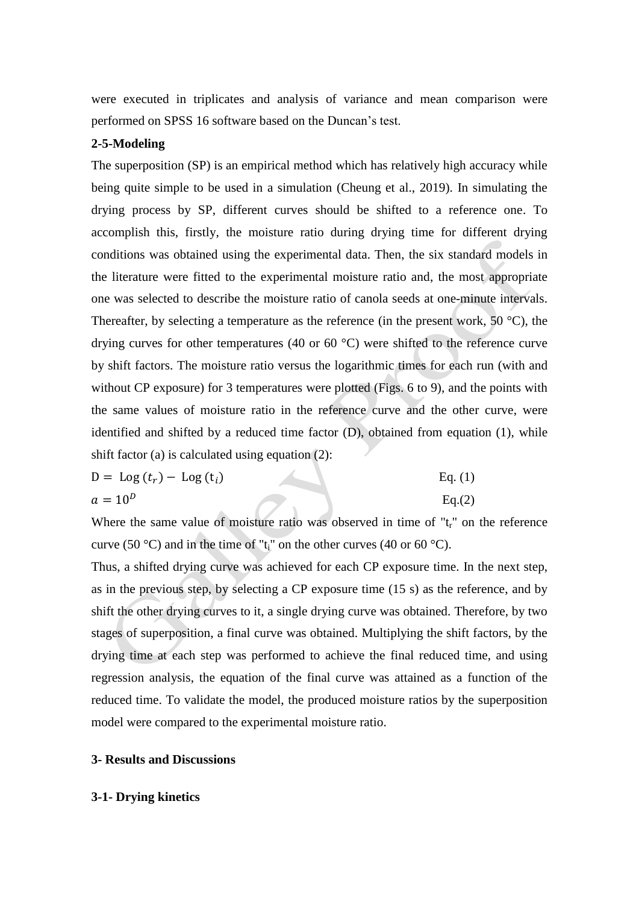were executed in triplicates and analysis of variance and mean comparison were performed on SPSS 16 software based on the Duncan's test.

#### **2-5-Modeling**

The superposition (SP) is an empirical method which has relatively high accuracy while being quite simple to be used in a simulation (Cheung et al., 2019). In simulating the drying process by SP, different curves should be shifted to a reference one. To accomplish this, firstly, the moisture ratio during drying time for different drying conditions was obtained using the experimental data. Then, the six standard models in the literature were fitted to the experimental moisture ratio and, the most appropriate one was selected to describe the moisture ratio of canola seeds at one-minute intervals. Thereafter, by selecting a temperature as the reference (in the present work,  $50^{\circ}$ C), the drying curves for other temperatures (40 or 60 °C) were shifted to the reference curve by shift factors. The moisture ratio versus the logarithmic times for each run (with and without CP exposure) for 3 temperatures were plotted (Figs. 6 to 9), and the points with the same values of moisture ratio in the reference curve and the other curve, were identified and shifted by a reduced time factor (D), obtained from equation (1), while shift factor (a) is calculated using equation (2):

$$
D = \text{Log}(t_r) - \text{Log}(t_i) \tag{1}
$$

 $a = 10^D$  Eq.(2)

Where the same value of moisture ratio was observed in time of " $t<sub>r</sub>$ " on the reference curve (50 °C) and in the time of " $t_i$ " on the other curves (40 or 60 °C).

Thus, a shifted drying curve was achieved for each CP exposure time. In the next step, as in the previous step, by selecting a CP exposure time (15 s) as the reference, and by shift the other drying curves to it, a single drying curve was obtained. Therefore, by two stages of superposition, a final curve was obtained. Multiplying the shift factors, by the drying time at each step was performed to achieve the final reduced time, and using regression analysis, the equation of the final curve was attained as a function of the reduced time. To validate the model, the produced moisture ratios by the superposition model were compared to the experimental moisture ratio.

#### **3- Results and Discussions**

#### **3-1- Drying kinetics**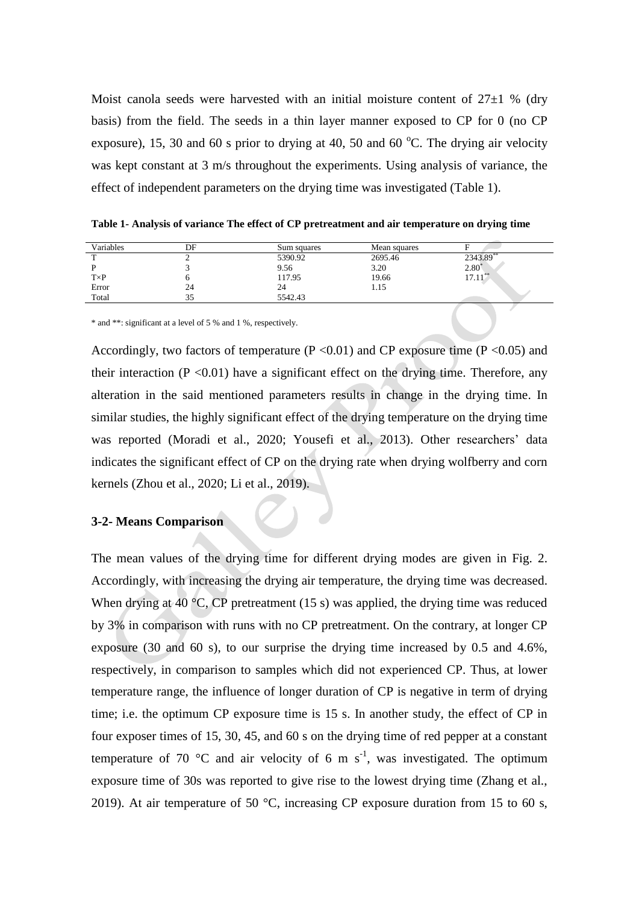Moist canola seeds were harvested with an initial moisture content of  $27\pm1$  % (dry basis) from the field. The seeds in a thin layer manner exposed to CP for 0 (no CP exposure), 15, 30 and 60 s prior to drying at 40, 50 and 60  $^{\circ}$ C. The drying air velocity was kept constant at 3 m/s throughout the experiments. Using analysis of variance, the effect of independent parameters on the drying time was investigated (Table 1).

| Variables   | DF | Sum squares | Mean squares |                |
|-------------|----|-------------|--------------|----------------|
|             |    | 5390.92     | 2695.46      | 2343.89**      |
|             |    | 9.56        | 3.20         | $2.80^{\circ}$ |
| $T\times P$ |    | 117.95      | 19.66        | $17.11^{***}$  |
| Error       | 24 |             | 1.15         |                |
| Total       |    | 5542.43     |              |                |

**Table 1- Analysis of variance The effect of CP pretreatment and air temperature on drying time**

\* and \*\*: significant at a level of 5 % and 1 %, respectively.

Accordingly, two factors of temperature ( $P \le 0.01$ ) and CP exposure time ( $P \le 0.05$ ) and their interaction ( $P \le 0.01$ ) have a significant effect on the drying time. Therefore, any alteration in the said mentioned parameters results in change in the drying time. In similar studies, the highly significant effect of the drying temperature on the drying time was reported (Moradi et al., 2020; Yousefi et al., 2013). Other researchers' data indicates the significant effect of CP on the drying rate when drying wolfberry and corn kernels (Zhou et al., 2020; Li et al., 2019).

# **3-2- Means Comparison**

The mean values of the drying time for different drying modes are given in Fig. 2. Accordingly, with increasing the drying air temperature, the drying time was decreased. When drying at 40  $\rm{^{\circ}C}$ , CP pretreatment (15 s) was applied, the drying time was reduced by 3% in comparison with runs with no CP pretreatment. On the contrary, at longer CP exposure (30 and 60 s), to our surprise the drying time increased by 0.5 and 4.6%, respectively, in comparison to samples which did not experienced CP. Thus, at lower temperature range, the influence of longer duration of CP is negative in term of drying time; i.e. the optimum CP exposure time is 15 s. In another study, the effect of CP in four exposer times of 15, 30, 45, and 60 s on the drying time of red pepper at a constant temperature of 70 °C and air velocity of 6 m s<sup>-1</sup>, was investigated. The optimum exposure time of 30s was reported to give rise to the lowest drying time (Zhang et al., 2019). At air temperature of 50  $^{\circ}$ C, increasing CP exposure duration from 15 to 60 s,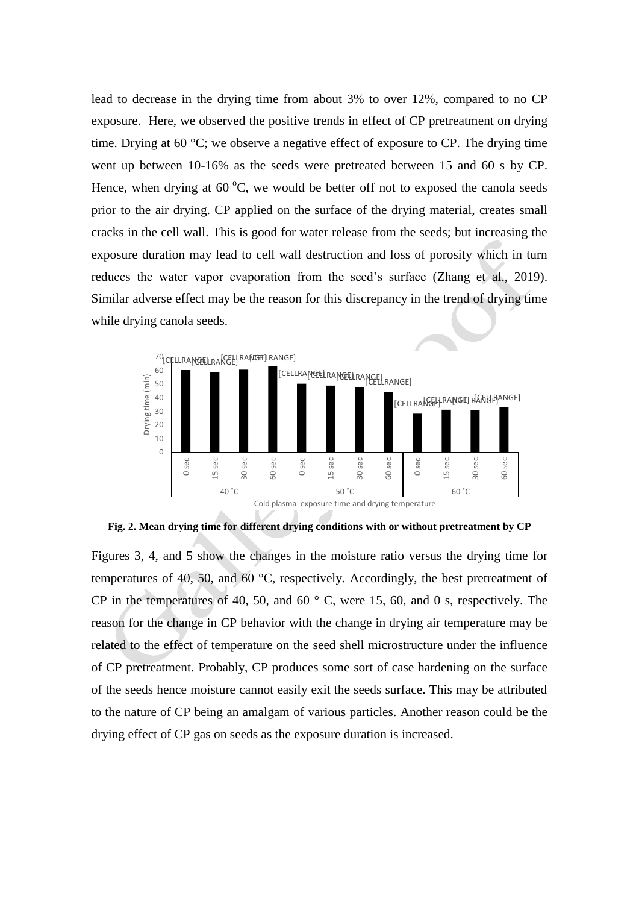lead to decrease in the drying time from about 3% to over 12%, compared to no CP exposure. Here, we observed the positive trends in effect of CP pretreatment on drying time. Drying at 60 °C; we observe a negative effect of exposure to CP. The drying time went up between 10-16% as the seeds were pretreated between 15 and 60 s by CP. Hence, when drying at  $60^{\circ}$ C, we would be better off not to exposed the canola seeds prior to the air drying. CP applied on the surface of the drying material, creates small cracks in the cell wall. This is good for water release from the seeds; but increasing the exposure duration may lead to cell wall destruction and loss of porosity which in turn reduces the water vapor evaporation from the seed's surface (Zhang et al., 2019). Similar adverse effect may be the reason for this discrepancy in the trend of drying time while drying canola seeds.



**Fig. 2. Mean drying time for different drying conditions with or without pretreatment by CP**

Figures 3, 4, and 5 show the changes in the moisture ratio versus the drying time for temperatures of 40, 50, and 60 °C, respectively. Accordingly, the best pretreatment of CP in the temperatures of 40, 50, and 60 $\degree$  C, were 15, 60, and 0 s, respectively. The reason for the change in CP behavior with the change in drying air temperature may be related to the effect of temperature on the seed shell microstructure under the influence of CP pretreatment. Probably, CP produces some sort of case hardening on the surface of the seeds hence moisture cannot easily exit the seeds surface. This may be attributed to the nature of CP being an amalgam of various particles. Another reason could be the drying effect of CP gas on seeds as the exposure duration is increased.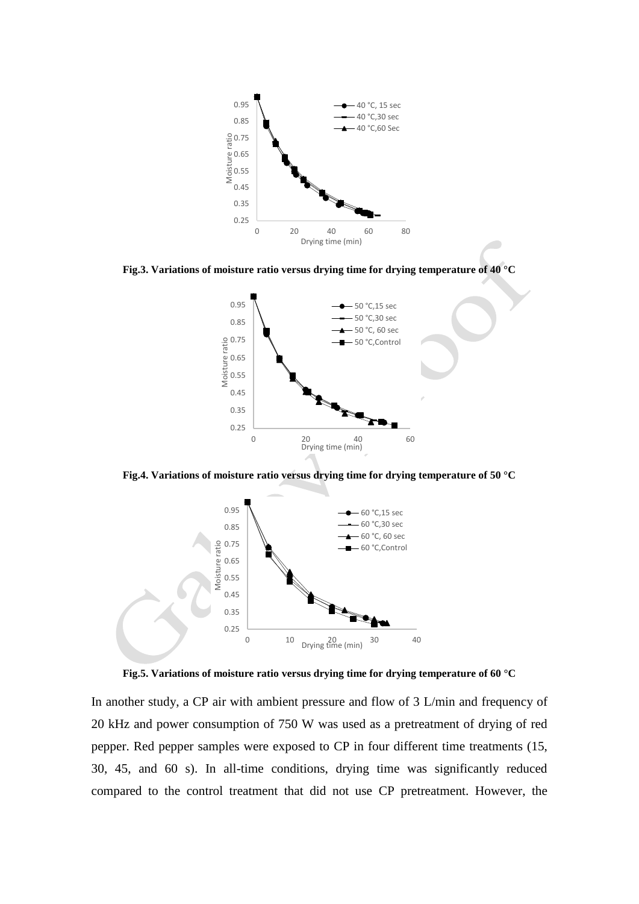





**Fig.4. Variations of moisture ratio versus drying time for drying temperature of 50 °C**



**Fig.5. Variations of moisture ratio versus drying time for drying temperature of 60 °C**

In another study, a CP air with ambient pressure and flow of 3 L/min and frequency of 20 kHz and power consumption of 750 W was used as a pretreatment of drying of red pepper. Red pepper samples were exposed to CP in four different time treatments (15, 30, 45, and 60 s). In all-time conditions, drying time was significantly reduced compared to the control treatment that did not use CP pretreatment. However, the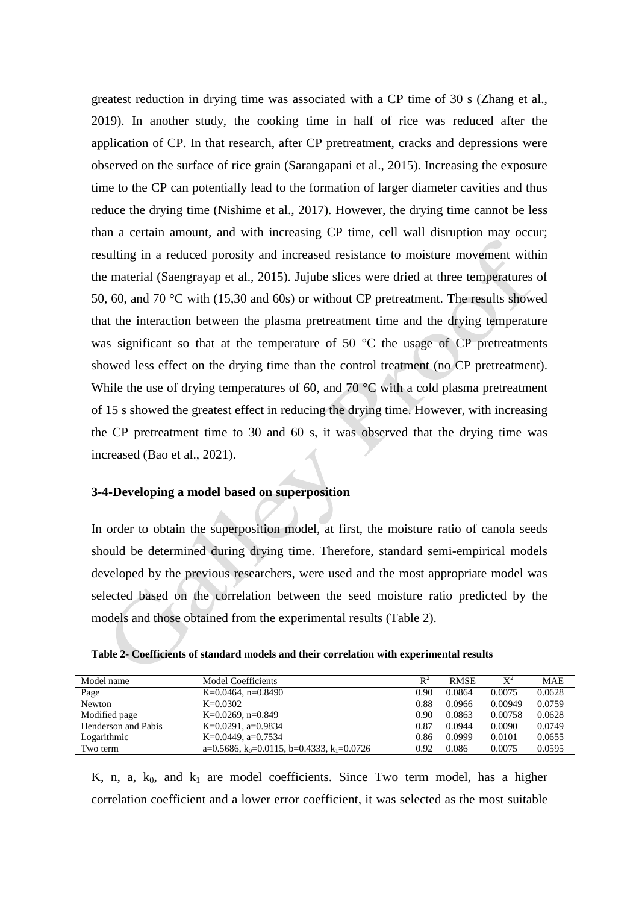greatest reduction in drying time was associated with a CP time of 30 s (Zhang et al., 2019). In another study, the cooking time in half of rice was reduced after the application of CP. In that research, after CP pretreatment, cracks and depressions were observed on the surface of rice grain (Sarangapani et al., 2015). Increasing the exposure time to the CP can potentially lead to the formation of larger diameter cavities and thus reduce the drying time (Nishime et al., 2017). However, the drying time cannot be less than a certain amount, and with increasing CP time, cell wall disruption may occur; resulting in a reduced porosity and increased resistance to moisture movement within the material (Saengrayap et al., 2015). Jujube slices were dried at three temperatures of 50, 60, and 70 °C with (15,30 and 60s) or without CP pretreatment. The results showed that the interaction between the plasma pretreatment time and the drying temperature was significant so that at the temperature of  $50^{\circ}$ C the usage of CP pretreatments showed less effect on the drying time than the control treatment (no CP pretreatment). While the use of drying temperatures of 60, and 70  $\degree$ C with a cold plasma pretreatment of 15 s showed the greatest effect in reducing the drying time. However, with increasing the CP pretreatment time to 30 and 60 s, it was observed that the drying time was increased (Bao et al., 2021).

## **3-4-Developing a model based on superposition**

In order to obtain the superposition model, at first, the moisture ratio of canola seeds should be determined during drying time. Therefore, standard semi-empirical models developed by the previous researchers, were used and the most appropriate model was selected based on the correlation between the seed moisture ratio predicted by the models and those obtained from the experimental results (Table 2).

|  |  |  |  |  |  |  |  |  |  |  | Table 2- Coefficients of standard models and their correlation with experimental results |  |
|--|--|--|--|--|--|--|--|--|--|--|------------------------------------------------------------------------------------------|--|
|--|--|--|--|--|--|--|--|--|--|--|------------------------------------------------------------------------------------------|--|

|                                                                    |                    |        |             | <b>MAE</b> |
|--------------------------------------------------------------------|--------------------|--------|-------------|------------|
|                                                                    |                    |        |             |            |
| K=0.0464, n=0.8490                                                 | 0.90               | 0.0864 | 0.0075      | 0.0628     |
| $K = 0.0302$                                                       | 0.88               | 0.0966 | 0.00949     | 0.0759     |
| K=0.0269, n=0.849                                                  | 0.90               | 0.0863 | 0.00758     | 0.0628     |
| K=0.0291, a=0.9834                                                 | 0.87               | 0.0944 | 0.0090      | 0.0749     |
| K=0.0449, a=0.7534                                                 | 0.86               | 0.0999 | 0.0101      | 0.0655     |
| a=0.5686, k <sub>0</sub> =0.0115, b=0.4333, k <sub>1</sub> =0.0726 | 0.92               | 0.086  | 0.0075      | 0.0595     |
|                                                                    | Model Coefficients | $R^2$  | <b>RMSE</b> | $X^2$      |

K, n, a,  $k_0$ , and  $k_1$  are model coefficients. Since Two term model, has a higher correlation coefficient and a lower error coefficient, it was selected as the most suitable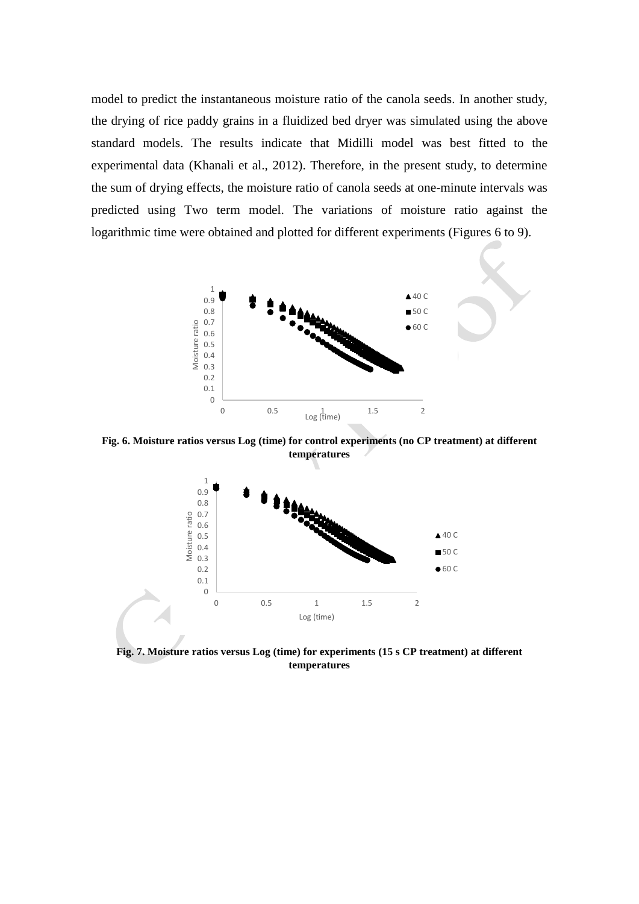model to predict the instantaneous moisture ratio of the canola seeds. In another study, the drying of rice paddy grains in a fluidized bed dryer was simulated using the above standard models. The results indicate that Midilli model was best fitted to the experimental data (Khanali et al., 2012). Therefore, in the present study, to determine the sum of drying effects, the moisture ratio of canola seeds at one-minute intervals was predicted using Two term model. The variations of moisture ratio against the logarithmic time were obtained and plotted for different experiments (Figures 6 to 9).



**Fig. 6. Moisture ratios versus Log (time) for control experiments (no CP treatment) at different temperatures**



**Fig. 7. Moisture ratios versus Log (time) for experiments (15 s CP treatment) at different temperatures**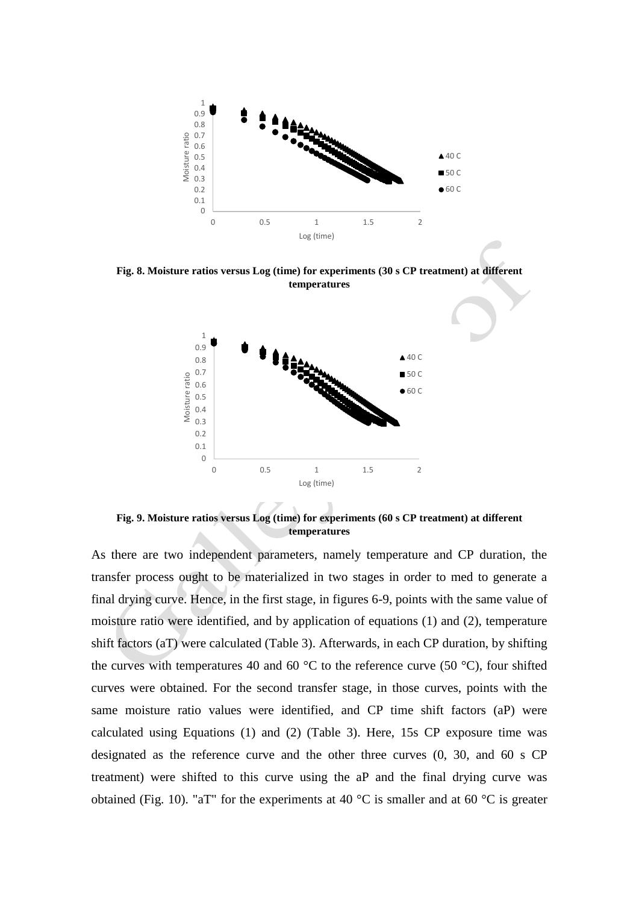

**Fig. 8. Moisture ratios versus Log (time) for experiments (30 s CP treatment) at different temperatures**



**Fig. 9. Moisture ratios versus Log (time) for experiments (60 s CP treatment) at different temperatures**

As there are two independent parameters, namely temperature and CP duration, the transfer process ought to be materialized in two stages in order to med to generate a final drying curve. Hence, in the first stage, in figures 6-9, points with the same value of moisture ratio were identified, and by application of equations (1) and (2), temperature shift factors (aT) were calculated (Table 3). Afterwards, in each CP duration, by shifting the curves with temperatures 40 and 60  $\degree$ C to the reference curve (50  $\degree$ C), four shifted curves were obtained. For the second transfer stage, in those curves, points with the same moisture ratio values were identified, and CP time shift factors (aP) were calculated using Equations (1) and (2) (Table 3). Here, 15s CP exposure time was designated as the reference curve and the other three curves (0, 30, and 60 s CP treatment) were shifted to this curve using the aP and the final drying curve was obtained (Fig. 10). "aT" for the experiments at 40  $^{\circ}$ C is smaller and at 60  $^{\circ}$ C is greater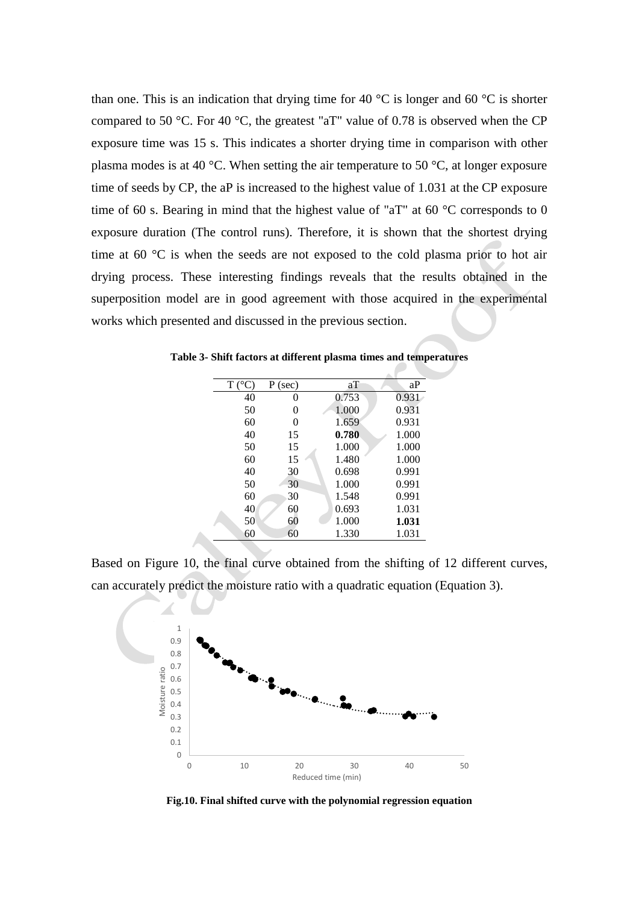than one. This is an indication that drying time for 40  $\degree$ C is longer and 60  $\degree$ C is shorter compared to 50 °C. For 40 °C, the greatest "aT" value of 0.78 is observed when the CP exposure time was 15 s. This indicates a shorter drying time in comparison with other plasma modes is at 40 °C. When setting the air temperature to 50 °C, at longer exposure time of seeds by CP, the aP is increased to the highest value of 1.031 at the CP exposure time of 60 s. Bearing in mind that the highest value of "aT" at 60  $\degree$ C corresponds to 0 exposure duration (The control runs). Therefore, it is shown that the shortest drying time at 60 °C is when the seeds are not exposed to the cold plasma prior to hot air drying process. These interesting findings reveals that the results obtained in the superposition model are in good agreement with those acquired in the experimental works which presented and discussed in the previous section.

| $T (^{\circ}C)$ | $P$ (sec) | aT    | aP    |
|-----------------|-----------|-------|-------|
| 40              | O         | 0.753 | 0.931 |
| 50              | $\theta$  | 1.000 | 0.931 |
| 60              | $\Omega$  | 1.659 | 0.931 |
| 40              | 15        | 0.780 | 1.000 |
| 50              | 15        | 1.000 | 1.000 |
| 60              | 15        | 1.480 | 1.000 |
| 40              | 30        | 0.698 | 0.991 |
| 50              | 30        | 1.000 | 0.991 |
| 60              | 30        | 1.548 | 0.991 |
| 40              | 60        | 0.693 | 1.031 |
| 50              | 60        | 1.000 | 1.031 |
| 60              | 60        | 1.330 | 1.031 |

**Table 3- Shift factors at different plasma times and temperatures**

Based on Figure 10, the final curve obtained from the shifting of 12 different curves, can accurately predict the moisture ratio with a quadratic equation (Equation 3).



**Fig.10. Final shifted curve with the polynomial regression equation**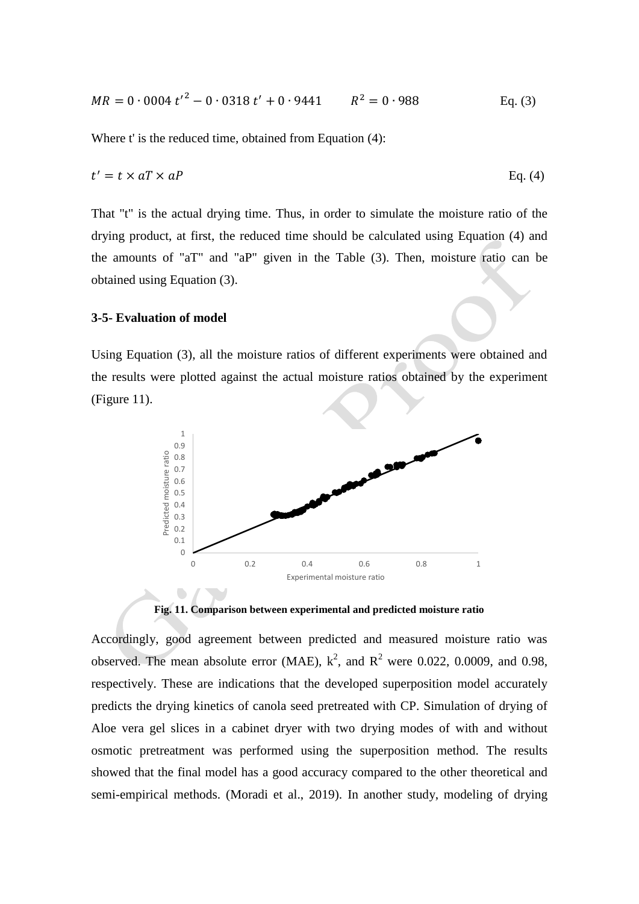$$
MR = 0.0004 \, t'^2 - 0.0318 \, t' + 0.9441 \qquad R^2 = 0.988 \qquad \qquad \text{Eq. (3)}
$$

Where t' is the reduced time, obtained from Equation (4):

$$
t' = t \times aT \times aP
$$
 Eq. (4)

That "t" is the actual drying time. Thus, in order to simulate the moisture ratio of the drying product, at first, the reduced time should be calculated using Equation (4) and the amounts of "aT" and "aP" given in the Table (3). Then, moisture ratio can be obtained using Equation (3).

## **3-5- Evaluation of model**

Using Equation (3), all the moisture ratios of different experiments were obtained and the results were plotted against the actual moisture ratios obtained by the experiment (Figure 11).



**Fig. 11. Comparison between experimental and predicted moisture ratio**

Accordingly, good agreement between predicted and measured moisture ratio was observed. The mean absolute error (MAE),  $k^2$ , and  $R^2$  were 0.022, 0.0009, and 0.98, respectively. These are indications that the developed superposition model accurately predicts the drying kinetics of canola seed pretreated with CP. Simulation of drying of Aloe vera gel slices in a cabinet dryer with two drying modes of with and without osmotic pretreatment was performed using the superposition method. The results showed that the final model has a good accuracy compared to the other theoretical and semi-empirical methods. (Moradi et al., 2019). In another study, modeling of drying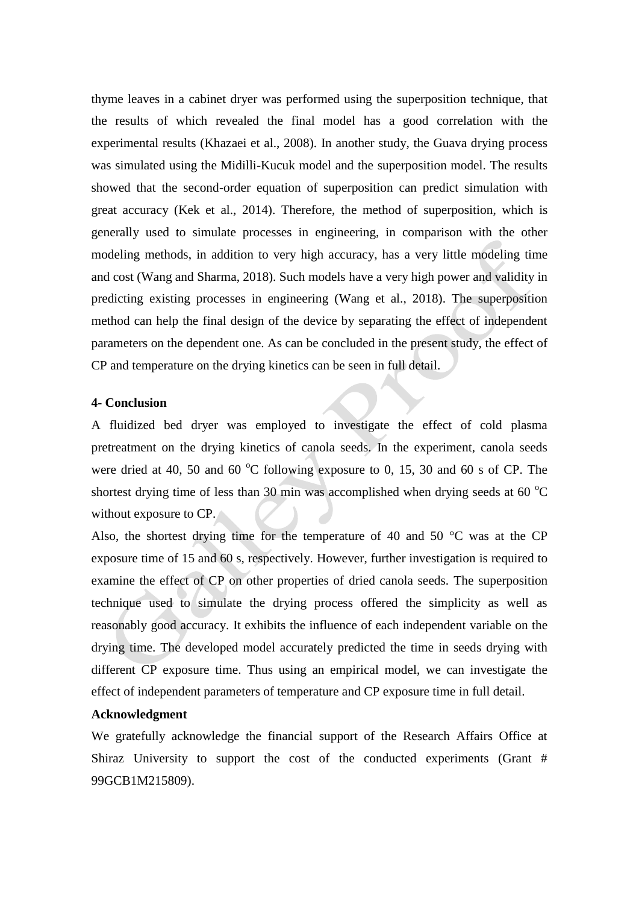thyme leaves in a cabinet dryer was performed using the superposition technique, that the results of which revealed the final model has a good correlation with the experimental results (Khazaei et al., 2008). In another study, the Guava drying process was simulated using the Midilli-Kucuk model and the superposition model. The results showed that the second-order equation of superposition can predict simulation with great accuracy (Kek et al., 2014). Therefore, the method of superposition, which is generally used to simulate processes in engineering, in comparison with the other modeling methods, in addition to very high accuracy, has a very little modeling time and cost (Wang and Sharma, 2018). Such models have a very high power and validity in predicting existing processes in engineering (Wang et al., 2018). The superposition method can help the final design of the device by separating the effect of independent parameters on the dependent one. As can be concluded in the present study, the effect of CP and temperature on the drying kinetics can be seen in full detail.

#### **4- Conclusion**

A fluidized bed dryer was employed to investigate the effect of cold plasma pretreatment on the drying kinetics of canola seeds. In the experiment, canola seeds were dried at 40, 50 and 60  $^{\circ}$ C following exposure to 0, 15, 30 and 60 s of CP. The shortest drying time of less than 30 min was accomplished when drying seeds at 60  $^{\circ}$ C without exposure to CP.

Also, the shortest drying time for the temperature of 40 and 50  $\degree$ C was at the CP exposure time of 15 and 60 s, respectively. However, further investigation is required to examine the effect of CP on other properties of dried canola seeds. The superposition technique used to simulate the drying process offered the simplicity as well as reasonably good accuracy. It exhibits the influence of each independent variable on the drying time. The developed model accurately predicted the time in seeds drying with different CP exposure time. Thus using an empirical model, we can investigate the effect of independent parameters of temperature and CP exposure time in full detail.

## **Acknowledgment**

We gratefully acknowledge the financial support of the Research Affairs Office at Shiraz University to support the cost of the conducted experiments (Grant # 99GCB1M215809).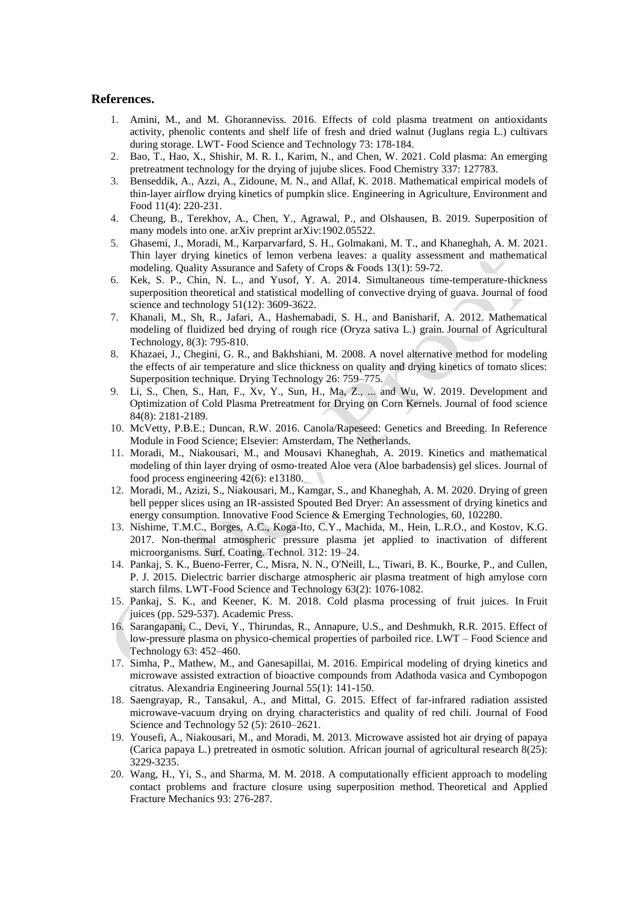#### **References.**

- 1. Amini, M., and M. Ghoranneviss. 2016. Effects of cold plasma treatment on antioxidants activity, phenolic contents and shelf life of fresh and dried walnut (Juglans regia L.) cultivars during storage. LWT- Food Science and Technology 73: 178-184.
- 2. Bao, T., Hao, X., Shishir, M. R. I., Karim, N., and Chen, W. 2021. Cold plasma: An emerging pretreatment technology for the drying of jujube slices. Food Chemistry 337: 127783.
- 3. Benseddik, A., Azzi, A., Zidoune, M. N., and Allaf, K. 2018. Mathematical empirical models of thin-layer airflow drying kinetics of pumpkin slice. Engineering in Agriculture, Environment and Food 11(4): 220-231.
- 4. Cheung, B., Terekhov, A., Chen, Y., Agrawal, P., and Olshausen, B. 2019. Superposition of many models into one. arXiv preprint arXiv:1902.05522.
- 5. Ghasemi, J., Moradi, M., Karparvarfard, S. H., Golmakani, M. T., and Khaneghah, A. M. 2021. Thin layer drying kinetics of lemon verbena leaves: a quality assessment and mathematical modeling. Quality Assurance and Safety of Crops & Foods 13(1): 59-72.
- 6. Kek, S. P., Chin, N. L., and Yusof, Y. A. 2014. Simultaneous time-temperature-thickness superposition theoretical and statistical modelling of convective drying of guava. Journal of food science and technology 51(12): 3609-3622.
- 7. Khanali, M., Sh, R., Jafari, A., Hashemabadi, S. H., and Banisharif, A. 2012. Mathematical modeling of fluidized bed drying of rough rice (Oryza sativa L.) grain. Journal of Agricultural Technology, 8(3): 795-810.
- 8. Khazaei, J., Chegini, G. R., and Bakhshiani, M. 2008. A novel alternative method for modeling the effects of air temperature and slice thickness on quality and drying kinetics of tomato slices: Superposition technique. Drying Technology 26: 759–775.
- 9. Li, S., Chen, S., Han, F., Xv, Y., Sun, H., Ma, Z., ... and Wu, W. 2019. Development and Optimization of Cold Plasma Pretreatment for Drying on Corn Kernels. Journal of food science 84(8): 2181-2189.
- 10. McVetty, P.B.E.; Duncan, R.W. 2016. Canola/Rapeseed: Genetics and Breeding. In Reference Module in Food Science; Elsevier: Amsterdam, The Netherlands.
- 11. Moradi, M., Niakousari, M., and Mousavi Khaneghah, A. 2019. Kinetics and mathematical modeling of thin layer drying of osmo‐treated Aloe vera (Aloe barbadensis) gel slices. Journal of food process engineering 42(6): e13180.
- 12. Moradi, M., Azizi, S., Niakousari, M., Kamgar, S., and Khaneghah, A. M. 2020. Drying of green bell pepper slices using an IR-assisted Spouted Bed Dryer: An assessment of drying kinetics and energy consumption. Innovative Food Science & Emerging Technologies, 60, 102280.
- 13. Nishime, T.M.C., Borges, A.C., Koga-Ito, C.Y., Machida, M., Hein, L.R.O., and Kostov, K.G. 2017. Non-thermal atmospheric pressure plasma jet applied to inactivation of different microorganisms. Surf. Coating. Technol. 312: 19–24.
- 14. Pankaj, S. K., Bueno-Ferrer, C., Misra, N. N., O'Neill, L., Tiwari, B. K., Bourke, P., and Cullen, P. J. 2015. Dielectric barrier discharge atmospheric air plasma treatment of high amylose corn starch films. LWT-Food Science and Technology 63(2): 1076-1082.
- 15. Pankaj, S. K., and Keener, K. M. 2018. Cold plasma processing of fruit juices. In Fruit juices (pp. 529-537). Academic Press.
- 16. Sarangapani, C., Devi, Y., Thirundas, R., Annapure, U.S., and Deshmukh, R.R. 2015. Effect of low-pressure plasma on physico-chemical properties of parboiled rice. LWT – Food Science and Technology 63: 452–460.
- 17. Simha, P., Mathew, M., and Ganesapillai, M. 2016. Empirical modeling of drying kinetics and microwave assisted extraction of bioactive compounds from Adathoda vasica and Cymbopogon citratus. Alexandria Engineering Journal 55(1): 141-150.
- 18. Saengrayap, R., Tansakul, A., and Mittal, G. 2015. Effect of far-infrared radiation assisted microwave-vacuum drying on drying characteristics and quality of red chili. Journal of Food Science and Technology 52 (5): 2610–2621.
- 19. Yousefi, A., Niakousari, M., and Moradi, M. 2013. Microwave assisted hot air drying of papaya (Carica papaya L.) pretreated in osmotic solution. African journal of agricultural research 8(25): 3229-3235.
- 20. Wang, H., Yi, S., and Sharma, M. M. 2018. A computationally efficient approach to modeling contact problems and fracture closure using superposition method. Theoretical and Applied Fracture Mechanics 93: 276-287.